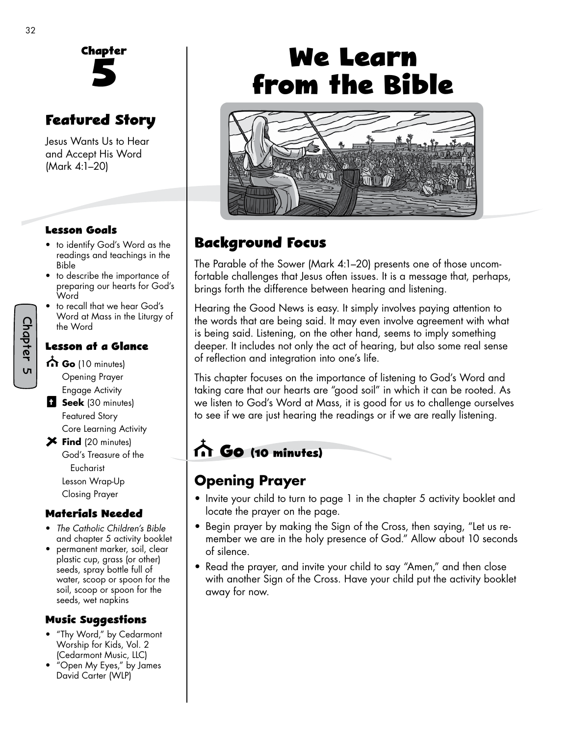

## **Featured Story**

Jesus Wants Us to Hear and Accept His Word (Mark 4:1–20)

#### **Lesson Goals**

- to identify God's Word as the readings and teachings in the Bible
- to describe the importance of preparing our hearts for God's **Word**
- to recall that we hear God's Word at Mass in the Liturgy of the Word

#### **Lesson at a Glance**

- **Go** (10 minutes) Opening Prayer Engage Activity
- **Seek** (30 minutes) Featured Story Core Learning Activity
- **Find** (20 minutes) God's Treasure of the Eucharist Lesson Wrap-Up Closing Prayer

#### **Materials Needed**

- *The Catholic Children's Bible* and chapter 5 activity booklet
- permanent marker, soil, clear plastic cup, grass (or other) seeds, spray bottle full of water, scoop or spoon for the soil, scoop or spoon for the seeds, wet napkins

#### **Music Suggestions**

- "Thy Word," by Cedarmont Worship for Kids, Vol. 2 (Cedarmont Music, LLC)
- "Open My Eyes," by James David Carter (WLP)

# **We Learn from the Bible**



# **Background Focus**

The Parable of the Sower (Mark 4:1–20) presents one of those uncomfortable challenges that Jesus often issues. It is a message that, perhaps, brings forth the difference between hearing and listening.

Hearing the Good News is easy. It simply involves paying attention to the words that are being said. It may even involve agreement with what is being said. Listening, on the other hand, seems to imply something deeper. It includes not only the act of hearing, but also some real sense of reflection and integration into one's life.

This chapter focuses on the importance of listening to God's Word and taking care that our hearts are "good soil" in which it can be rooted. As we listen to God's Word at Mass, it is good for us to challenge ourselves to see if we are just hearing the readings or if we are really listening.

# **Go (10 minutes)**

### **Opening Prayer**

- Invite your child to turn to page 1 in the chapter 5 activity booklet and locate the prayer on the page.
- Begin prayer by making the Sign of the Cross, then saying, "Let us remember we are in the holy presence of God." Allow about 10 seconds of silence.
- Read the prayer, and invite your child to say "Amen," and then close with another Sign of the Cross. Have your child put the activity booklet away for now.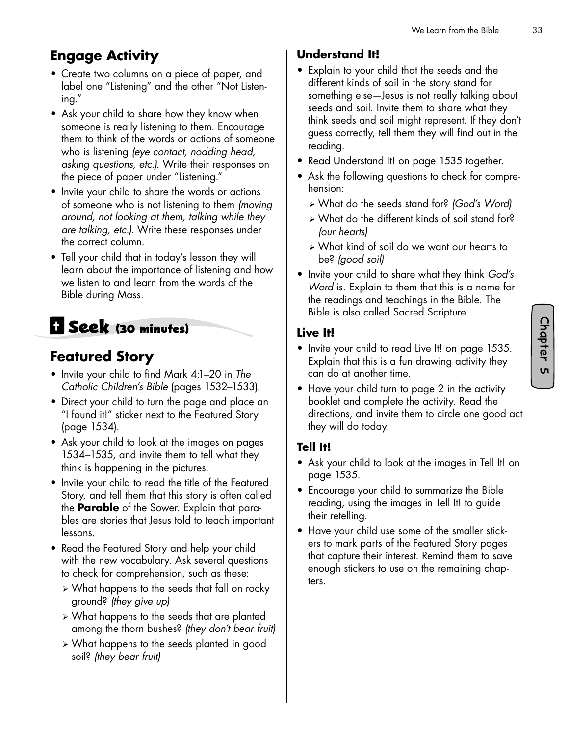# **Engage Activity**

- Create two columns on a piece of paper, and label one "Listening" and the other "Not Listening."
- Ask your child to share how they know when someone is really listening to them. Encourage them to think of the words or actions of someone who is listening *(eye contact, nodding head, asking questions, etc.).* Write their responses on the piece of paper under "Listening."
- Invite your child to share the words or actions of someone who is not listening to them *(moving around, not looking at them, talking while they are talking, etc.).* Write these responses under the correct column.
- Tell your child that in today's lesson they will learn about the importance of listening and how we listen to and learn from the words of the Bible during Mass.

# **Seek (30 minutes)**

### **Featured Story**

- Invite your child to find Mark 4:1–20 in *The Catholic Children's Bible* (pages 1532–1533).
- Direct your child to turn the page and place an "I found it!" sticker next to the Featured Story (page 1534).
- Ask your child to look at the images on pages 1534–1535, and invite them to tell what they think is happening in the pictures.
- Invite your child to read the title of the Featured Story, and tell them that this story is often called the **Parable** of the Sower. Explain that parables are stories that Jesus told to teach important lessons.
- Read the Featured Story and help your child with the new vocabulary. Ask several questions to check for comprehension, such as these:
	- $\triangleright$  What happens to the seeds that fall on rocky ground? *(they give up)*
	- ¾ What happens to the seeds that are planted among the thorn bushes? *(they don't bear fruit)*
	- ¾ What happens to the seeds planted in good soil? *(they bear fruit)*

#### **Understand It!**

- Explain to your child that the seeds and the different kinds of soil in the story stand for something else—Jesus is not really talking about seeds and soil. Invite them to share what they think seeds and soil might represent. If they don't guess correctly, tell them they will find out in the reading.
- Read Understand It! on page 1535 together.
- Ask the following questions to check for comprehension:
	- ¾ What do the seeds stand for? *(God's Word)*
	- ¾ What do the different kinds of soil stand for? *(our hearts)*
	- ¾ What kind of soil do we want our hearts to be? *(good soil)*
- Invite your child to share what they think *God's Word* is. Explain to them that this is a name for the readings and teachings in the Bible. The Bible is also called Sacred Scripture.

#### **Live It!**

- Invite your child to read Live It! on page 1535. Explain that this is a fun drawing activity they can do at another time.
- Have your child turn to page 2 in the activity booklet and complete the activity. Read the directions, and invite them to circle one good act they will do today.

#### **Tell It!**

- Ask your child to look at the images in Tell It! on page 1535.
- Encourage your child to summarize the Bible reading, using the images in Tell It! to guide their retelling.
- Have your child use some of the smaller stickers to mark parts of the Featured Story pages that capture their interest. Remind them to save enough stickers to use on the remaining chapters.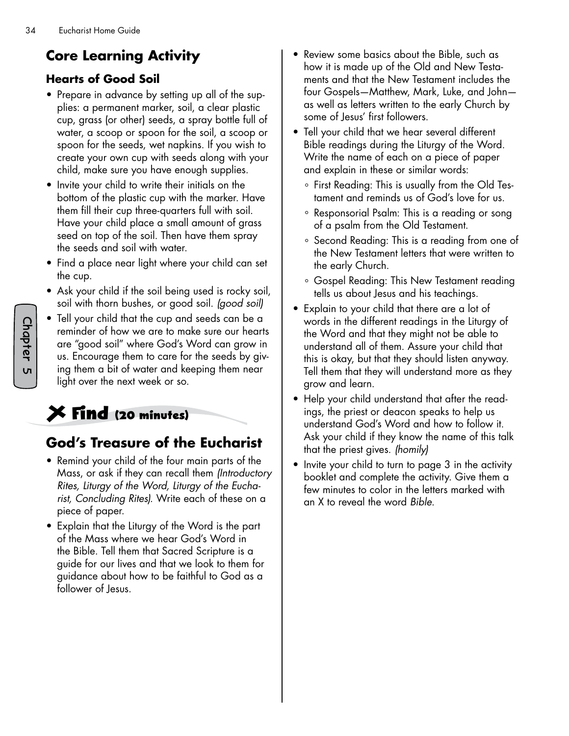# **Core Learning Activity**

#### **Hearts of Good Soil**

- Prepare in advance by setting up all of the supplies: a permanent marker, soil, a clear plastic cup, grass (or other) seeds, a spray bottle full of water, a scoop or spoon for the soil, a scoop or spoon for the seeds, wet napkins. If you wish to create your own cup with seeds along with your child, make sure you have enough supplies.
- Invite your child to write their initials on the bottom of the plastic cup with the marker. Have them fill their cup three-quarters full with soil. Have your child place a small amount of grass seed on top of the soil. Then have them spray the seeds and soil with water.
- Find a place near light where your child can set the cup.
- Ask your child if the soil being used is rocky soil, soil with thorn bushes, or good soil. *(good soil)*
- Tell your child that the cup and seeds can be a reminder of how we are to make sure our hearts are "good soil" where God's Word can grow in us. Encourage them to care for the seeds by giving them a bit of water and keeping them near light over the next week or so.

# **Find (20 minutes)**

# **God's Treasure of the Eucharist**

- Remind your child of the four main parts of the Mass, or ask if they can recall them *(Introductory Rites, Liturgy of the Word, Liturgy of the Eucharist, Concluding Rites).* Write each of these on a piece of paper.
- Explain that the Liturgy of the Word is the part of the Mass where we hear God's Word in the Bible. Tell them that Sacred Scripture is a guide for our lives and that we look to them for guidance about how to be faithful to God as a follower of Jesus.
- Review some basics about the Bible, such as how it is made up of the Old and New Testaments and that the New Testament includes the four Gospels—Matthew, Mark, Luke, and John as well as letters written to the early Church by some of Jesus' first followers.
- Tell your child that we hear several different Bible readings during the Liturgy of the Word. Write the name of each on a piece of paper and explain in these or similar words:
	- ° First Reading: This is usually from the Old Testament and reminds us of God's love for us.
	- ° Responsorial Psalm: This is a reading or song of a psalm from the Old Testament.
	- ° Second Reading: This is a reading from one of the New Testament letters that were written to the early Church.
	- ° Gospel Reading: This New Testament reading tells us about Jesus and his teachings.
- Explain to your child that there are a lot of words in the different readings in the Liturgy of the Word and that they might not be able to understand all of them. Assure your child that this is okay, but that they should listen anyway. Tell them that they will understand more as they grow and learn.
- Help your child understand that after the readings, the priest or deacon speaks to help us understand God's Word and how to follow it. Ask your child if they know the name of this talk that the priest gives. *(homily)*
- Invite your child to turn to page 3 in the activity booklet and complete the activity. Give them a few minutes to color in the letters marked with an X to reveal the word *Bible*.